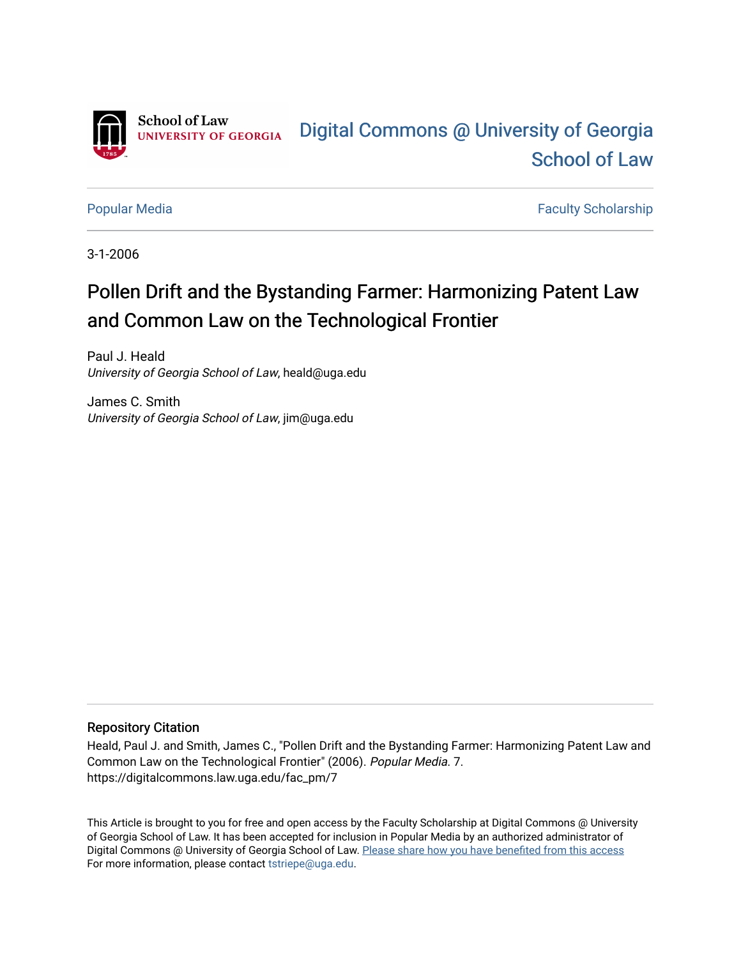

[Popular Media](https://digitalcommons.law.uga.edu/fac_pm) **Faculty Scholarship** Faculty Scholarship

3-1-2006

## Pollen Drift and the Bystanding Farmer: Harmonizing Patent Law and Common Law on the Technological Frontier

Paul J. Heald University of Georgia School of Law, heald@uga.edu

James C. Smith University of Georgia School of Law, jim@uga.edu

#### Repository Citation

Heald, Paul J. and Smith, James C., "Pollen Drift and the Bystanding Farmer: Harmonizing Patent Law and Common Law on the Technological Frontier" (2006). Popular Media. 7. https://digitalcommons.law.uga.edu/fac\_pm/7

This Article is brought to you for free and open access by the Faculty Scholarship at Digital Commons @ University of Georgia School of Law. It has been accepted for inclusion in Popular Media by an authorized administrator of Digital Commons @ University of Georgia School of Law. Please share how you have benefited from this access For more information, please contact [tstriepe@uga.edu](mailto:tstriepe@uga.edu).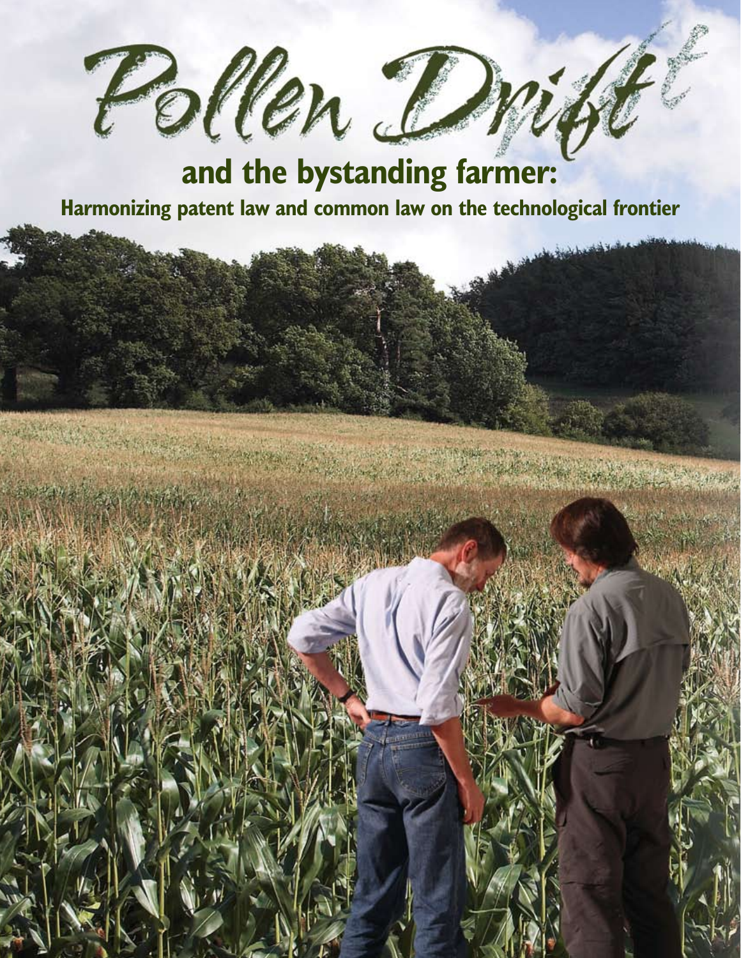

# **Harmonizing patent law and common law on the technological frontier**

الشعيل فيؤجلون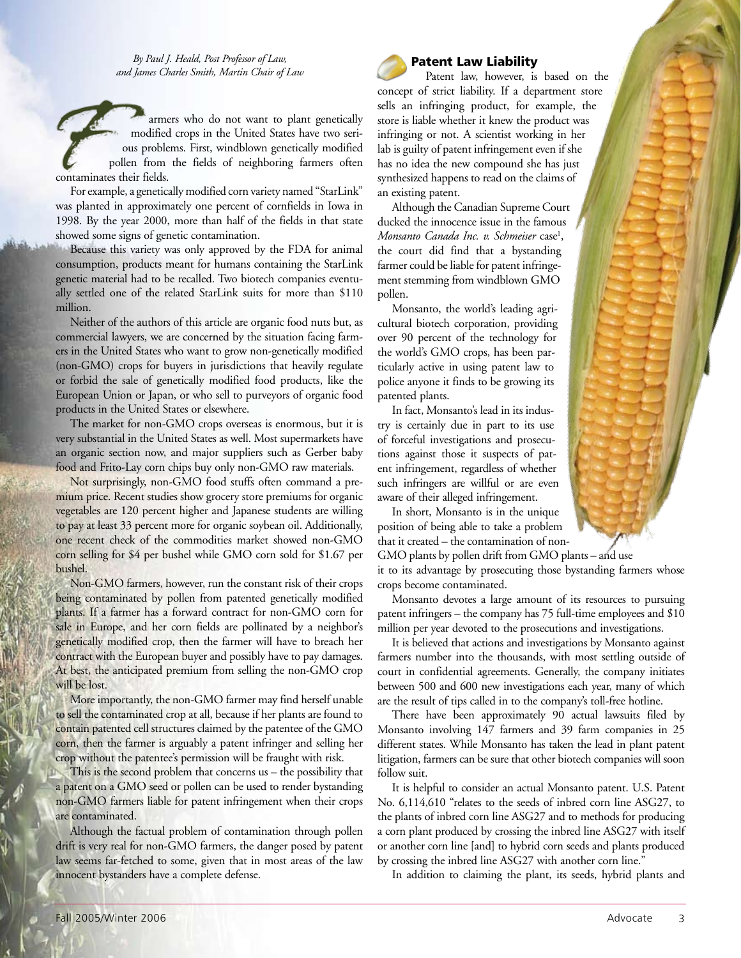*By Paul J. Heald, Post Professor of Law, and James Charles Smith, Martin Chair of Law*

armers who do not want to plant genetically modified crops in the United States have two serious problems. First, windblown genetically modified pollen from the fields of neighboring farmers often contaminates their fields.

For example, a genetically modified corn variety named "StarLink" was planted in approximately one percent of cornfields in Iowa in 1998. By the year 2000, more than half of the fields in that state showed some signs of genetic contamination.

Because this variety was only approved by the FDA for animal consumption, products meant for humans containing the StarLink genetic material had to be recalled. Two biotech companies eventually settled one of the related StarLink suits for more than \$110 million.

Neither of the authors of this article are organic food nuts but, as commercial lawyers, we are concerned by the situation facing farmers in the United States who want to grow non-genetically modified (non-GMO) crops for buyers in jurisdictions that heavily regulate or forbid the sale of genetically modified food products, like the European Union or Japan, or who sell to purveyors of organic food products in the United States or elsewhere.

The market for non-GMO crops overseas is enormous, but it is very substantial in the United States as well. Most supermarkets have an organic section now, and major suppliers such as Gerber baby food and Frito-Lay corn chips buy only non-GMO raw materials.

Not surprisingly, non-GMO food stuffs often command a premium price. Recent studies show grocery store premiums for organic vegetables are 120 percent higher and Japanese students are willing to pay at least 33 percent more for organic soybean oil. Additionally, one recent check of the commodities market showed non-GMO corn selling for \$4 per bushel while GMO corn sold for \$1.67 per bushel.

Non-GMO farmers, however, run the constant risk of their crops being contaminated by pollen from patented genetically modified plants. If a farmer has a forward contract for non-GMO corn for sale in Europe, and her corn fields are pollinated by a neighbor's genetically modified crop, then the farmer will have to breach her contract with the European buyer and possibly have to pay damages. At best, the anticipated premium from selling the non-GMO crop will be lost.

More importantly, the non-GMO farmer may find herself unable to sell the contaminated crop at all, because if her plants are found to contain patented cell structures claimed by the patentee of the GMO corn, then the farmer is arguably a patent infringer and selling her crop without the patentee's permission will be fraught with risk.

This is the second problem that concerns us – the possibility that a patent on a GMO seed or pollen can be used to render bystanding non-GMO farmers liable for patent infringement when their crops are contaminated.

Although the factual problem of contamination through pollen drift is very real for non-GMO farmers, the danger posed by patent law seems far-fetched to some, given that in most areas of the law innocent bystanders have a complete defense.



#### Patent Law Liability

Patent law, however, is based on the concept of strict liability. If a department store sells an infringing product, for example, the store is liable whether it knew the product was infringing or not. A scientist working in her lab is guilty of patent infringement even if she has no idea the new compound she has just synthesized happens to read on the claims of an existing patent.

Although the Canadian Supreme Court ducked the innocence issue in the famous *Monsanto Canada Inc. v. Schmeiser* case1 , the court did find that a bystanding farmer could be liable for patent infringement stemming from windblown GMO pollen.

Monsanto, the world's leading agricultural biotech corporation, providing over 90 percent of the technology for the world's GMO crops, has been particularly active in using patent law to police anyone it finds to be growing its patented plants.

In fact, Monsanto's lead in its industry is certainly due in part to its use of forceful investigations and prosecutions against those it suspects of patent infringement, regardless of whether such infringers are willful or are even aware of their alleged infringement.

In short, Monsanto is in the unique position of being able to take a problem that it created – the contamination of non-

GMO plants by pollen drift from GMO plants – and use it to its advantage by prosecuting those bystanding farmers whose crops become contaminated.

Monsanto devotes a large amount of its resources to pursuing patent infringers – the company has 75 full-time employees and \$10 million per year devoted to the prosecutions and investigations.

It is believed that actions and investigations by Monsanto against farmers number into the thousands, with most settling outside of court in confidential agreements. Generally, the company initiates between 500 and 600 new investigations each year, many of which are the result of tips called in to the company's toll-free hotline.

There have been approximately 90 actual lawsuits filed by Monsanto involving 147 farmers and 39 farm companies in 25 different states. While Monsanto has taken the lead in plant patent litigation, farmers can be sure that other biotech companies will soon follow suit.

It is helpful to consider an actual Monsanto patent. U.S. Patent No. 6,114,610 "relates to the seeds of inbred corn line ASG27, to the plants of inbred corn line ASG27 and to methods for producing a corn plant produced by crossing the inbred line ASG27 with itself or another corn line [and] to hybrid corn seeds and plants produced by crossing the inbred line ASG27 with another corn line."

In addition to claiming the plant, its seeds, hybrid plants and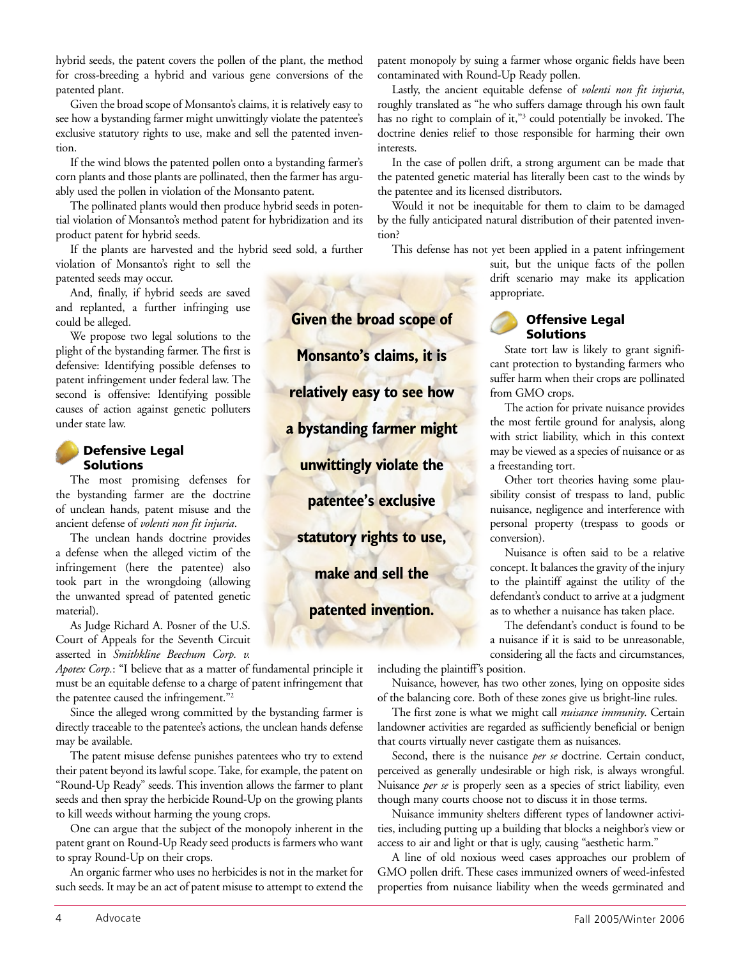hybrid seeds, the patent covers the pollen of the plant, the method for cross-breeding a hybrid and various gene conversions of the patented plant.

Given the broad scope of Monsanto's claims, it is relatively easy to see how a bystanding farmer might unwittingly violate the patentee's exclusive statutory rights to use, make and sell the patented invention.

If the wind blows the patented pollen onto a bystanding farmer's corn plants and those plants are pollinated, then the farmer has arguably used the pollen in violation of the Monsanto patent.

The pollinated plants would then produce hybrid seeds in potential violation of Monsanto's method patent for hybridization and its product patent for hybrid seeds.

If the plants are harvested and the hybrid seed sold, a further violation of Monsanto's right to sell the patented seeds may occur.

And, finally, if hybrid seeds are saved and replanted, a further infringing use could be alleged.

We propose two legal solutions to the plight of the bystanding farmer. The first is defensive: Identifying possible defenses to patent infringement under federal law. The second is offensive: Identifying possible causes of action against genetic polluters under state law.

#### Defensive Legal Solutions

The most promising defenses for the bystanding farmer are the doctrine of unclean hands, patent misuse and the ancient defense of *volenti non fit injuria*.

The unclean hands doctrine provides a defense when the alleged victim of the infringement (here the patentee) also took part in the wrongdoing (allowing the unwanted spread of patented genetic material).

As Judge Richard A. Posner of the U.S. Court of Appeals for the Seventh Circuit asserted in *Smithkline Beechum Corp. v.*

*Apotex Corp.*: "I believe that as a matter of fundamental principle it must be an equitable defense to a charge of patent infringement that the patentee caused the infringement."2

Since the alleged wrong committed by the bystanding farmer is directly traceable to the patentee's actions, the unclean hands defense may be available.

The patent misuse defense punishes patentees who try to extend their patent beyond its lawful scope. Take, for example, the patent on "Round-Up Ready" seeds. This invention allows the farmer to plant seeds and then spray the herbicide Round-Up on the growing plants to kill weeds without harming the young crops.

One can argue that the subject of the monopoly inherent in the patent grant on Round-Up Ready seed products is farmers who want to spray Round-Up on their crops.

An organic farmer who uses no herbicides is not in the market for such seeds. It may be an act of patent misuse to attempt to extend the

patent monopoly by suing a farmer whose organic fields have been contaminated with Round-Up Ready pollen.

Lastly, the ancient equitable defense of *volenti non fit injuria*, roughly translated as "he who suffers damage through his own fault has no right to complain of it,"<sup>3</sup> could potentially be invoked. The doctrine denies relief to those responsible for harming their own interests.

In the case of pollen drift, a strong argument can be made that the patented genetic material has literally been cast to the winds by the patentee and its licensed distributors.

Would it not be inequitable for them to claim to be damaged by the fully anticipated natural distribution of their patented invention?

This defense has not yet been applied in a patent infringement

suit, but the unique facts of the pollen drift scenario may make its application appropriate.



State tort law is likely to grant significant protection to bystanding farmers who suffer harm when their crops are pollinated from GMO crops.

The action for private nuisance provides the most fertile ground for analysis, along with strict liability, which in this context may be viewed as a species of nuisance or as a freestanding tort.

Other tort theories having some plausibility consist of trespass to land, public nuisance, negligence and interference with personal property (trespass to goods or conversion).

Nuisance is often said to be a relative concept. It balances the gravity of the injury to the plaintiff against the utility of the defendant's conduct to arrive at a judgment as to whether a nuisance has taken place.

The defendant's conduct is found to be a nuisance if it is said to be unreasonable, considering all the facts and circumstances,

including the plaintiff's position.

Nuisance, however, has two other zones, lying on opposite sides of the balancing core. Both of these zones give us bright-line rules.

The first zone is what we might call *nuisance immunity*. Certain landowner activities are regarded as sufficiently beneficial or benign that courts virtually never castigate them as nuisances.

Second, there is the nuisance *per se* doctrine. Certain conduct, perceived as generally undesirable or high risk, is always wrongful. Nuisance *per se* is properly seen as a species of strict liability, even though many courts choose not to discuss it in those terms.

Nuisance immunity shelters different types of landowner activities, including putting up a building that blocks a neighbor's view or access to air and light or that is ugly, causing "aesthetic harm."

A line of old noxious weed cases approaches our problem of GMO pollen drift. These cases immunized owners of weed-infested properties from nuisance liability when the weeds germinated and

**Given the broad scope of Monsanto's claims, it is relatively easy to see how a bystanding farmer might unwittingly violate the patentee's exclusive statutory rights to use, make and sell the patented invention.**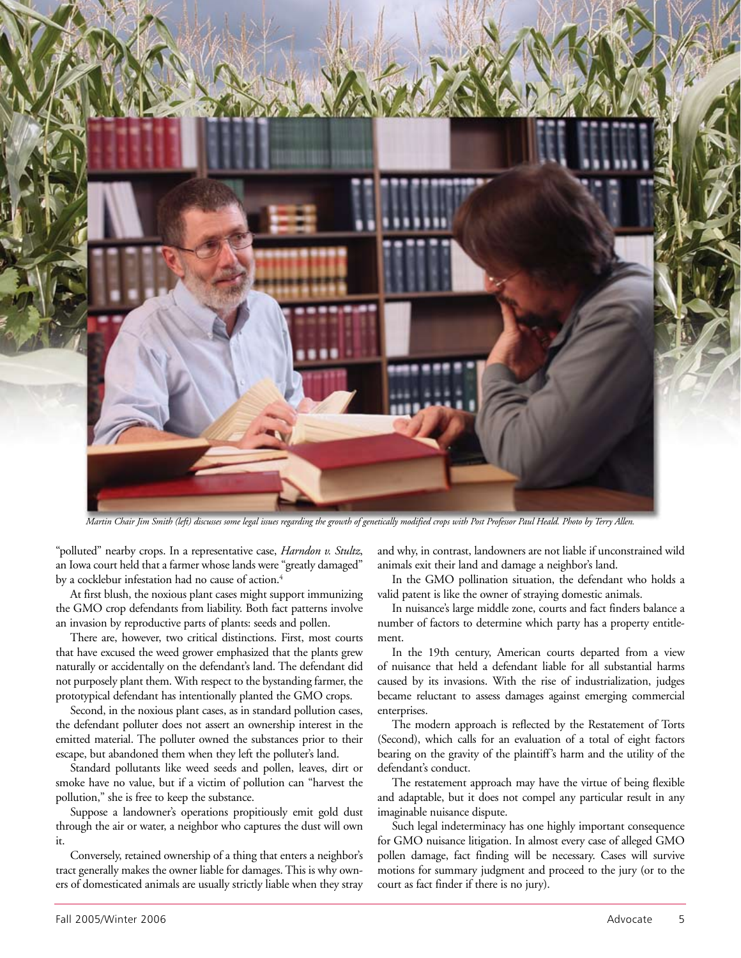

Martin Chair Jim Smith (left) discusses some legal issues regarding the growth of genetically modified crops with Post Professor Paul Heald. Photo by Terry Allen.

"polluted" nearby crops. In a representative case, *Harndon v. Stultz*, an Iowa court held that a farmer whose lands were "greatly damaged" by a cocklebur infestation had no cause of action.<sup>4</sup>

At first blush, the noxious plant cases might support immunizing the GMO crop defendants from liability. Both fact patterns involve an invasion by reproductive parts of plants: seeds and pollen.

There are, however, two critical distinctions. First, most courts that have excused the weed grower emphasized that the plants grew naturally or accidentally on the defendant's land. The defendant did not purposely plant them. With respect to the bystanding farmer, the prototypical defendant has intentionally planted the GMO crops.

Second, in the noxious plant cases, as in standard pollution cases, the defendant polluter does not assert an ownership interest in the emitted material. The polluter owned the substances prior to their escape, but abandoned them when they left the polluter's land.

Standard pollutants like weed seeds and pollen, leaves, dirt or smoke have no value, but if a victim of pollution can "harvest the pollution," she is free to keep the substance.

Suppose a landowner's operations propitiously emit gold dust through the air or water, a neighbor who captures the dust will own it.

Conversely, retained ownership of a thing that enters a neighbor's tract generally makes the owner liable for damages. This is why owners of domesticated animals are usually strictly liable when they stray and why, in contrast, landowners are not liable if unconstrained wild animals exit their land and damage a neighbor's land.

In the GMO pollination situation, the defendant who holds a valid patent is like the owner of straying domestic animals.

In nuisance's large middle zone, courts and fact finders balance a number of factors to determine which party has a property entitlement.

In the 19th century, American courts departed from a view of nuisance that held a defendant liable for all substantial harms caused by its invasions. With the rise of industrialization, judges became reluctant to assess damages against emerging commercial enterprises.

The modern approach is reflected by the Restatement of Torts (Second), which calls for an evaluation of a total of eight factors bearing on the gravity of the plaintiff's harm and the utility of the defendant's conduct.

The restatement approach may have the virtue of being flexible and adaptable, but it does not compel any particular result in any imaginable nuisance dispute.

Such legal indeterminacy has one highly important consequence for GMO nuisance litigation. In almost every case of alleged GMO pollen damage, fact finding will be necessary. Cases will survive motions for summary judgment and proceed to the jury (or to the court as fact finder if there is no jury).